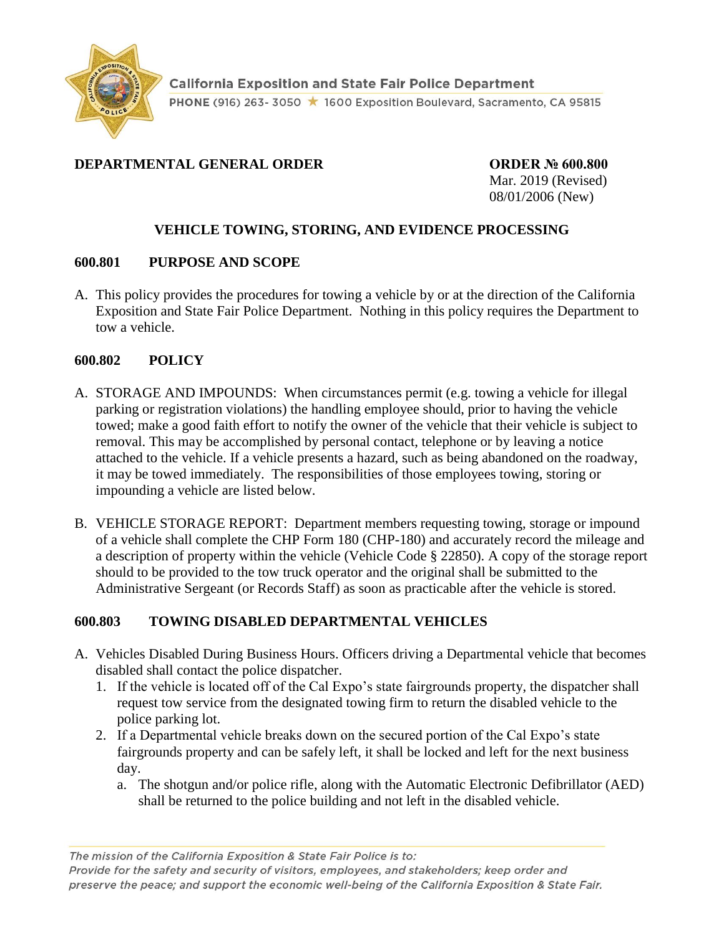

# **DEPARTMENTAL GENERAL ORDER ORDER № 600.800**

Mar. 2019 (Revised) 08/01/2006 (New)

# **VEHICLE TOWING, STORING, AND EVIDENCE PROCESSING**

# **600.801 PURPOSE AND SCOPE**

A. This policy provides the procedures for towing a vehicle by or at the direction of the California Exposition and State Fair Police Department. Nothing in this policy requires the Department to tow a vehicle.

### **600.802 POLICY**

- A. STORAGE AND IMPOUNDS: When circumstances permit (e.g. towing a vehicle for illegal parking or registration violations) the handling employee should, prior to having the vehicle towed; make a good faith effort to notify the owner of the vehicle that their vehicle is subject to removal. This may be accomplished by personal contact, telephone or by leaving a notice attached to the vehicle. If a vehicle presents a hazard, such as being abandoned on the roadway, it may be towed immediately. The responsibilities of those employees towing, storing or impounding a vehicle are listed below.
- B. VEHICLE STORAGE REPORT: Department members requesting towing, storage or impound of a vehicle shall complete the CHP Form 180 (CHP-180) and accurately record the mileage and a description of property within the vehicle (Vehicle Code § 22850). A copy of the storage report should to be provided to the tow truck operator and the original shall be submitted to the Administrative Sergeant (or Records Staff) as soon as practicable after the vehicle is stored.

# **600.803 TOWING DISABLED DEPARTMENTAL VEHICLES**

- A. Vehicles Disabled During Business Hours. Officers driving a Departmental vehicle that becomes disabled shall contact the police dispatcher.
	- 1. If the vehicle is located off of the Cal Expo's state fairgrounds property, the dispatcher shall request tow service from the designated towing firm to return the disabled vehicle to the police parking lot.
	- 2. If a Departmental vehicle breaks down on the secured portion of the Cal Expo's state fairgrounds property and can be safely left, it shall be locked and left for the next business day.
		- a. The shotgun and/or police rifle, along with the Automatic Electronic Defibrillator (AED) shall be returned to the police building and not left in the disabled vehicle.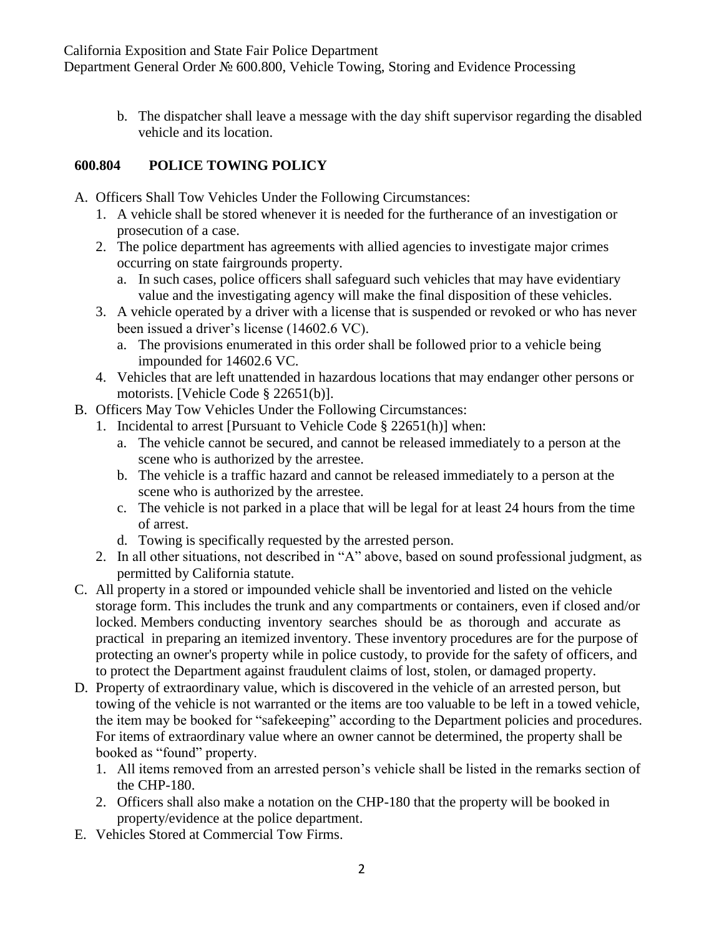California Exposition and State Fair Police Department Department General Order № 600.800, Vehicle Towing, Storing and Evidence Processing

> b. The dispatcher shall leave a message with the day shift supervisor regarding the disabled vehicle and its location.

# **600.804 POLICE TOWING POLICY**

- A. Officers Shall Tow Vehicles Under the Following Circumstances:
	- 1. A vehicle shall be stored whenever it is needed for the furtherance of an investigation or prosecution of a case.
	- 2. The police department has agreements with allied agencies to investigate major crimes occurring on state fairgrounds property.
		- a. In such cases, police officers shall safeguard such vehicles that may have evidentiary value and the investigating agency will make the final disposition of these vehicles.
	- 3. A vehicle operated by a driver with a license that is suspended or revoked or who has never been issued a driver's license (14602.6 VC).
		- a. The provisions enumerated in this order shall be followed prior to a vehicle being impounded for 14602.6 VC.
	- 4. Vehicles that are left unattended in hazardous locations that may endanger other persons or motorists. [Vehicle Code § 22651(b)].
- B. Officers May Tow Vehicles Under the Following Circumstances:
	- 1. Incidental to arrest [Pursuant to Vehicle Code § 22651(h)] when:
		- a. The vehicle cannot be secured, and cannot be released immediately to a person at the scene who is authorized by the arrestee.
		- b. The vehicle is a traffic hazard and cannot be released immediately to a person at the scene who is authorized by the arrestee.
		- c. The vehicle is not parked in a place that will be legal for at least 24 hours from the time of arrest.
		- d. Towing is specifically requested by the arrested person.
	- 2. In all other situations, not described in "A" above, based on sound professional judgment, as permitted by California statute.
- C. All property in a stored or impounded vehicle shall be inventoried and listed on the vehicle storage form. This includes the trunk and any compartments or containers, even if closed and/or locked. Members conducting inventory searches should be as thorough and accurate as practical in preparing an itemized inventory. These inventory procedures are for the purpose of protecting an owner's property while in police custody, to provide for the safety of officers, and to protect the Department against fraudulent claims of lost, stolen, or damaged property.
- D. Property of extraordinary value, which is discovered in the vehicle of an arrested person, but towing of the vehicle is not warranted or the items are too valuable to be left in a towed vehicle, the item may be booked for "safekeeping" according to the Department policies and procedures. For items of extraordinary value where an owner cannot be determined, the property shall be booked as "found" property.
	- 1. All items removed from an arrested person's vehicle shall be listed in the remarks section of the CHP-180.
	- 2. Officers shall also make a notation on the CHP-180 that the property will be booked in property/evidence at the police department.
- E. Vehicles Stored at Commercial Tow Firms.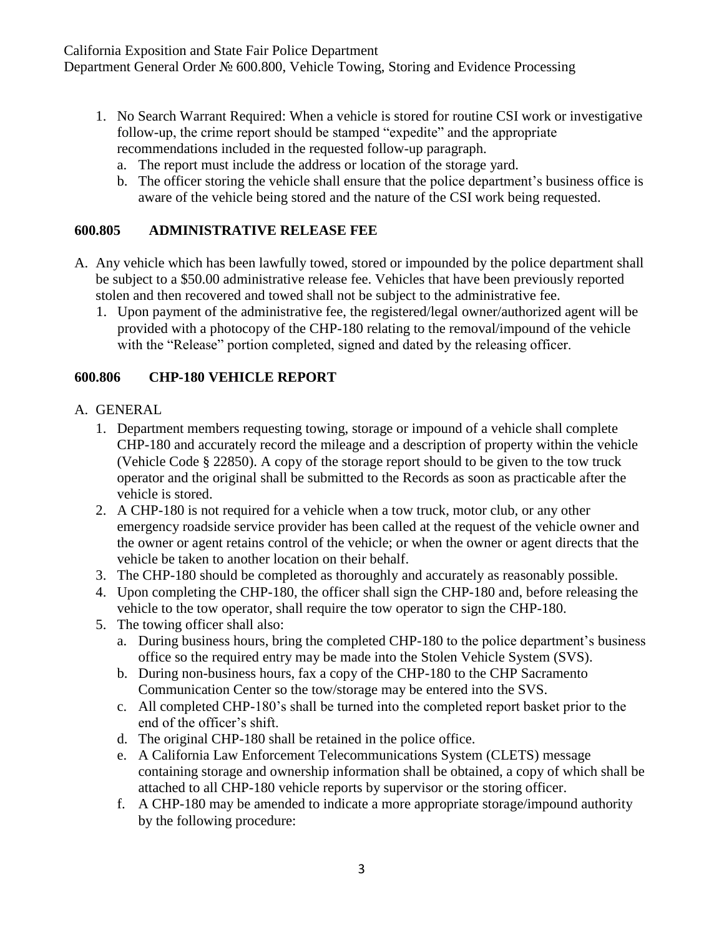- 1. No Search Warrant Required: When a vehicle is stored for routine CSI work or investigative follow-up, the crime report should be stamped "expedite" and the appropriate recommendations included in the requested follow-up paragraph.
	- a. The report must include the address or location of the storage yard.
	- b. The officer storing the vehicle shall ensure that the police department's business office is aware of the vehicle being stored and the nature of the CSI work being requested.

## **600.805 ADMINISTRATIVE RELEASE FEE**

- A. Any vehicle which has been lawfully towed, stored or impounded by the police department shall be subject to a \$50.00 administrative release fee. Vehicles that have been previously reported stolen and then recovered and towed shall not be subject to the administrative fee.
	- 1. Upon payment of the administrative fee, the registered/legal owner/authorized agent will be provided with a photocopy of the CHP-180 relating to the removal/impound of the vehicle with the "Release" portion completed, signed and dated by the releasing officer.

### **600.806 CHP-180 VEHICLE REPORT**

### A. GENERAL

- 1. Department members requesting towing, storage or impound of a vehicle shall complete CHP-180 and accurately record the mileage and a description of property within the vehicle (Vehicle Code § 22850). A copy of the storage report should to be given to the tow truck operator and the original shall be submitted to the Records as soon as practicable after the vehicle is stored.
- 2. A CHP-180 is not required for a vehicle when a tow truck, motor club, or any other emergency roadside service provider has been called at the request of the vehicle owner and the owner or agent retains control of the vehicle; or when the owner or agent directs that the vehicle be taken to another location on their behalf.
- 3. The CHP-180 should be completed as thoroughly and accurately as reasonably possible.
- 4. Upon completing the CHP-180, the officer shall sign the CHP-180 and, before releasing the vehicle to the tow operator, shall require the tow operator to sign the CHP-180.
- 5. The towing officer shall also:
	- a. During business hours, bring the completed CHP-180 to the police department's business office so the required entry may be made into the Stolen Vehicle System (SVS).
	- b. During non-business hours, fax a copy of the CHP-180 to the CHP Sacramento Communication Center so the tow/storage may be entered into the SVS.
	- c. All completed CHP-180's shall be turned into the completed report basket prior to the end of the officer's shift.
	- d. The original CHP-180 shall be retained in the police office.
	- e. A California Law Enforcement Telecommunications System (CLETS) message containing storage and ownership information shall be obtained, a copy of which shall be attached to all CHP-180 vehicle reports by supervisor or the storing officer.
	- f. A CHP-180 may be amended to indicate a more appropriate storage/impound authority by the following procedure: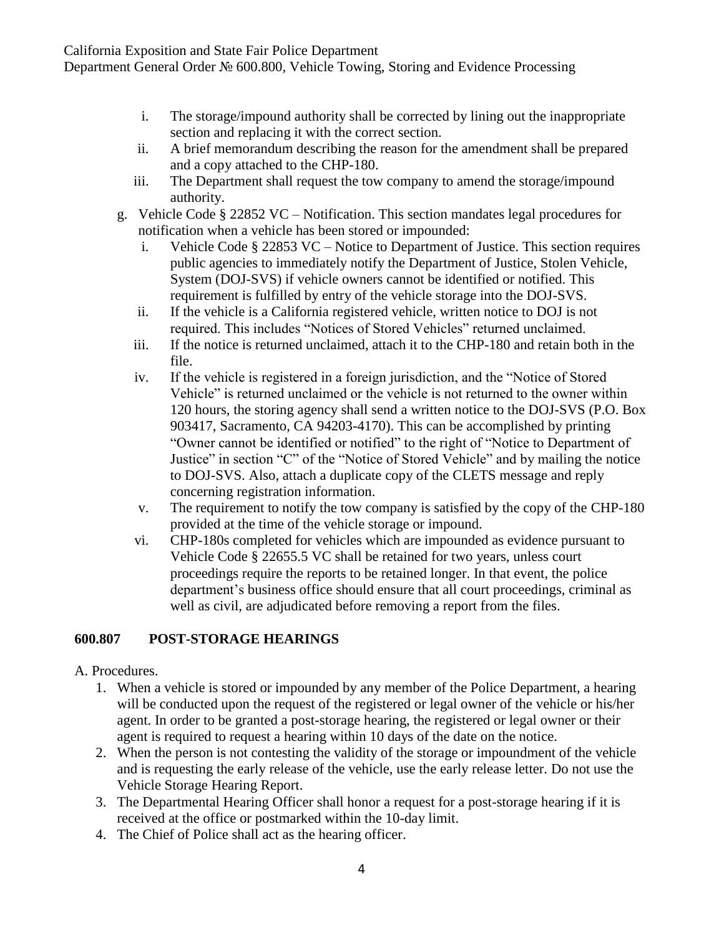California Exposition and State Fair Police Department

Department General Order № 600.800, Vehicle Towing, Storing and Evidence Processing

- i. The storage/impound authority shall be corrected by lining out the inappropriate section and replacing it with the correct section.
- ii. A brief memorandum describing the reason for the amendment shall be prepared and a copy attached to the CHP-180.
- iii. The Department shall request the tow company to amend the storage/impound authority.
- g. Vehicle Code § 22852 VC Notification. This section mandates legal procedures for notification when a vehicle has been stored or impounded:
	- i. Vehicle Code § 22853 VC Notice to Department of Justice. This section requires public agencies to immediately notify the Department of Justice, Stolen Vehicle, System (DOJ-SVS) if vehicle owners cannot be identified or notified. This requirement is fulfilled by entry of the vehicle storage into the DOJ-SVS.
	- ii. If the vehicle is a California registered vehicle, written notice to DOJ is not required. This includes "Notices of Stored Vehicles" returned unclaimed.
	- iii. If the notice is returned unclaimed, attach it to the CHP-180 and retain both in the file.
	- iv. If the vehicle is registered in a foreign jurisdiction, and the "Notice of Stored Vehicle" is returned unclaimed or the vehicle is not returned to the owner within 120 hours, the storing agency shall send a written notice to the DOJ-SVS (P.O. Box 903417, Sacramento, CA 94203-4170). This can be accomplished by printing "Owner cannot be identified or notified" to the right of "Notice to Department of Justice" in section "C" of the "Notice of Stored Vehicle" and by mailing the notice to DOJ-SVS. Also, attach a duplicate copy of the CLETS message and reply concerning registration information.
	- v. The requirement to notify the tow company is satisfied by the copy of the CHP-180 provided at the time of the vehicle storage or impound.
	- vi. CHP-180s completed for vehicles which are impounded as evidence pursuant to Vehicle Code § 22655.5 VC shall be retained for two years, unless court proceedings require the reports to be retained longer. In that event, the police department's business office should ensure that all court proceedings, criminal as well as civil, are adjudicated before removing a report from the files.

# **600.807 POST-STORAGE HEARINGS**

#### A. Procedures.

- 1. When a vehicle is stored or impounded by any member of the Police Department, a hearing will be conducted upon the request of the registered or legal owner of the vehicle or his/her agent. In order to be granted a post-storage hearing, the registered or legal owner or their agent is required to request a hearing within 10 days of the date on the notice.
- 2. When the person is not contesting the validity of the storage or impoundment of the vehicle and is requesting the early release of the vehicle, use the early release letter. Do not use the Vehicle Storage Hearing Report.
- 3. The Departmental Hearing Officer shall honor a request for a post-storage hearing if it is received at the office or postmarked within the 10-day limit.
- 4. The Chief of Police shall act as the hearing officer.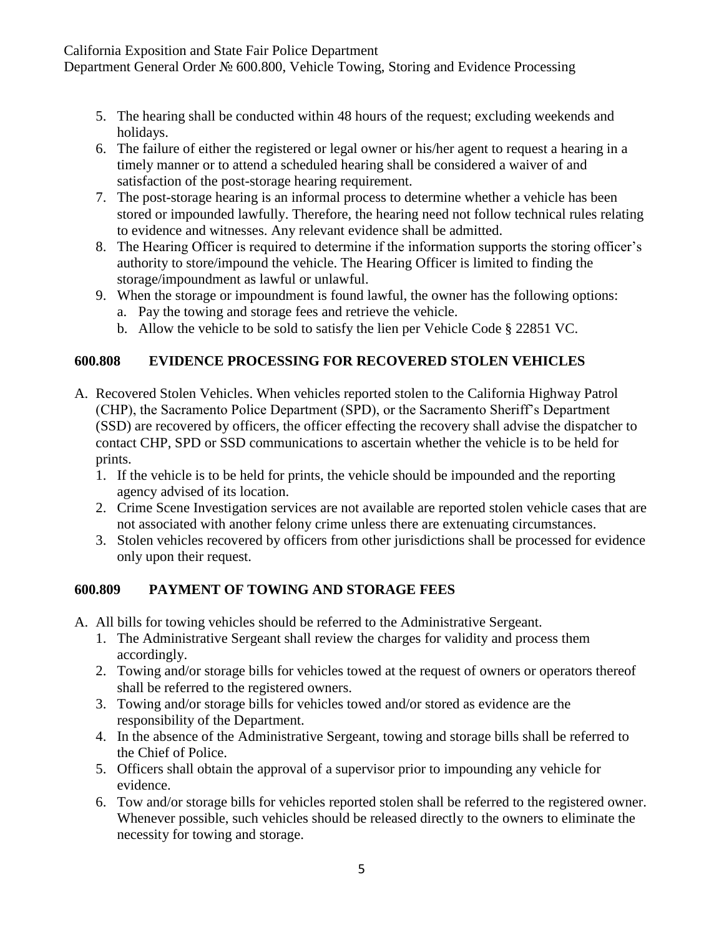California Exposition and State Fair Police Department

Department General Order № 600.800, Vehicle Towing, Storing and Evidence Processing

- 5. The hearing shall be conducted within 48 hours of the request; excluding weekends and holidays.
- 6. The failure of either the registered or legal owner or his/her agent to request a hearing in a timely manner or to attend a scheduled hearing shall be considered a waiver of and satisfaction of the post-storage hearing requirement.
- 7. The post-storage hearing is an informal process to determine whether a vehicle has been stored or impounded lawfully. Therefore, the hearing need not follow technical rules relating to evidence and witnesses. Any relevant evidence shall be admitted.
- 8. The Hearing Officer is required to determine if the information supports the storing officer's authority to store/impound the vehicle. The Hearing Officer is limited to finding the storage/impoundment as lawful or unlawful.
- 9. When the storage or impoundment is found lawful, the owner has the following options:
	- a. Pay the towing and storage fees and retrieve the vehicle.
	- b. Allow the vehicle to be sold to satisfy the lien per Vehicle Code § 22851 VC.

# **600.808 EVIDENCE PROCESSING FOR RECOVERED STOLEN VEHICLES**

- A. Recovered Stolen Vehicles. When vehicles reported stolen to the California Highway Patrol (CHP), the Sacramento Police Department (SPD), or the Sacramento Sheriff's Department (SSD) are recovered by officers, the officer effecting the recovery shall advise the dispatcher to contact CHP, SPD or SSD communications to ascertain whether the vehicle is to be held for prints.
	- 1. If the vehicle is to be held for prints, the vehicle should be impounded and the reporting agency advised of its location.
	- 2. Crime Scene Investigation services are not available are reported stolen vehicle cases that are not associated with another felony crime unless there are extenuating circumstances.
	- 3. Stolen vehicles recovered by officers from other jurisdictions shall be processed for evidence only upon their request.

#### **600.809 PAYMENT OF TOWING AND STORAGE FEES**

- A. All bills for towing vehicles should be referred to the Administrative Sergeant.
	- 1. The Administrative Sergeant shall review the charges for validity and process them accordingly.
	- 2. Towing and/or storage bills for vehicles towed at the request of owners or operators thereof shall be referred to the registered owners.
	- 3. Towing and/or storage bills for vehicles towed and/or stored as evidence are the responsibility of the Department.
	- 4. In the absence of the Administrative Sergeant, towing and storage bills shall be referred to the Chief of Police.
	- 5. Officers shall obtain the approval of a supervisor prior to impounding any vehicle for evidence.
	- 6. Tow and/or storage bills for vehicles reported stolen shall be referred to the registered owner. Whenever possible, such vehicles should be released directly to the owners to eliminate the necessity for towing and storage.